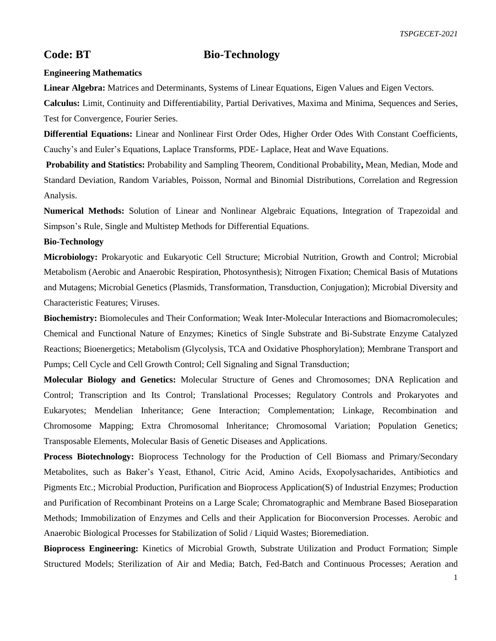## **Code: BT** Bio-Technology

## **Engineering Mathematics**

**Linear Algebra:** Matrices and Determinants, Systems of Linear Equations, Eigen Values and Eigen Vectors.

**Calculus:** Limit, Continuity and Differentiability, Partial Derivatives, Maxima and Minima, Sequences and Series, Test for Convergence, Fourier Series.

**Differential Equations:** Linear and Nonlinear First Order Odes, Higher Order Odes With Constant Coefficients, Cauchy's and Euler's Equations, Laplace Transforms, PDE- Laplace, Heat and Wave Equations.

**Probability and Statistics:** Probability and Sampling Theorem, Conditional Probability**,** Mean, Median, Mode and Standard Deviation, Random Variables, Poisson, Normal and Binomial Distributions, Correlation and Regression Analysis.

**Numerical Methods:** Solution of Linear and Nonlinear Algebraic Equations, Integration of Trapezoidal and Simpson's Rule, Single and Multistep Methods for Differential Equations.

## **Bio-Technology**

**Microbiology:** Prokaryotic and Eukaryotic Cell Structure; Microbial Nutrition, Growth and Control; Microbial Metabolism (Aerobic and Anaerobic Respiration, Photosynthesis); Nitrogen Fixation; Chemical Basis of Mutations and Mutagens; Microbial Genetics (Plasmids, Transformation, Transduction, Conjugation); Microbial Diversity and Characteristic Features; Viruses.

**Biochemistry:** Biomolecules and Their Conformation; Weak Inter-Molecular Interactions and Biomacromolecules; Chemical and Functional Nature of Enzymes; Kinetics of Single Substrate and Bi-Substrate Enzyme Catalyzed Reactions; Bioenergetics; Metabolism (Glycolysis, TCA and Oxidative Phosphorylation); Membrane Transport and Pumps; Cell Cycle and Cell Growth Control; Cell Signaling and Signal Transduction;

**Molecular Biology and Genetics:** Molecular Structure of Genes and Chromosomes; DNA Replication and Control; Transcription and Its Control; Translational Processes; Regulatory Controls and Prokaryotes and Eukaryotes; Mendelian Inheritance; Gene Interaction; Complementation; Linkage, Recombination and Chromosome Mapping; Extra Chromosomal Inheritance; Chromosomal Variation; Population Genetics; Transposable Elements, Molecular Basis of Genetic Diseases and Applications.

**Process Biotechnology:** Bioprocess Technology for the Production of Cell Biomass and Primary/Secondary Metabolites, such as Baker's Yeast, Ethanol, Citric Acid, Amino Acids, Exopolysacharides, Antibiotics and Pigments Etc.; Microbial Production, Purification and Bioprocess Application(S) of Industrial Enzymes; Production and Purification of Recombinant Proteins on a Large Scale; Chromatographic and Membrane Based Bioseparation Methods; Immobilization of Enzymes and Cells and their Application for Bioconversion Processes. Aerobic and Anaerobic Biological Processes for Stabilization of Solid / Liquid Wastes; Bioremediation.

**Bioprocess Engineering:** Kinetics of Microbial Growth, Substrate Utilization and Product Formation; Simple Structured Models; Sterilization of Air and Media; Batch, Fed-Batch and Continuous Processes; Aeration and